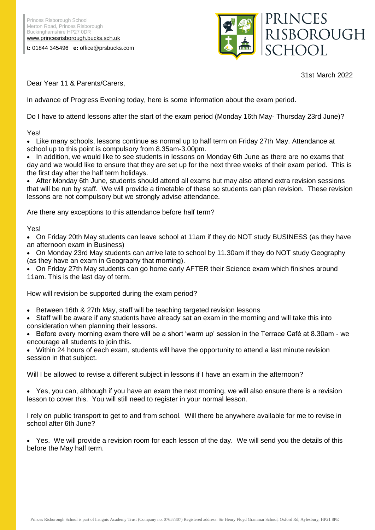**t:** 01844 345496 **e:** office@prsbucks.com





31st March 2022

Dear Year 11 & Parents/Carers,

In advance of Progress Evening today, here is some information about the exam period.

Do I have to attend lessons after the start of the exam period (Monday 16th May- Thursday 23rd June)?

Yes!

• Like many schools, lessons continue as normal up to half term on Friday 27th May. Attendance at school up to this point is compulsory from 8.35am-3.00pm.

• In addition, we would like to see students in lessons on Monday 6th June as there are no exams that day and we would like to ensure that they are set up for the next three weeks of their exam period. This is the first day after the half term holidays.

 After Monday 6th June, students should attend all exams but may also attend extra revision sessions that will be run by staff. We will provide a timetable of these so students can plan revision. These revision lessons are not compulsory but we strongly advise attendance.

Are there any exceptions to this attendance before half term?

## Yes!

 On Friday 20th May students can leave school at 11am if they do NOT study BUSINESS (as they have an afternoon exam in Business)

 On Monday 23rd May students can arrive late to school by 11.30am if they do NOT study Geography (as they have an exam in Geography that morning).

 On Friday 27th May students can go home early AFTER their Science exam which finishes around 11am. This is the last day of term.

How will revision be supported during the exam period?

Between 16th & 27th May, staff will be teaching targeted revision lessons

 Staff will be aware if any students have already sat an exam in the morning and will take this into consideration when planning their lessons.

 Before every morning exam there will be a short 'warm up' session in the Terrace Café at 8.30am - we encourage all students to join this.

 Within 24 hours of each exam, students will have the opportunity to attend a last minute revision session in that subject.

Will I be allowed to revise a different subject in lessons if I have an exam in the afternoon?

 Yes, you can, although if you have an exam the next morning, we will also ensure there is a revision lesson to cover this. You will still need to register in your normal lesson.

I rely on public transport to get to and from school. Will there be anywhere available for me to revise in school after 6th June?

 Yes. We will provide a revision room for each lesson of the day. We will send you the details of this before the May half term.